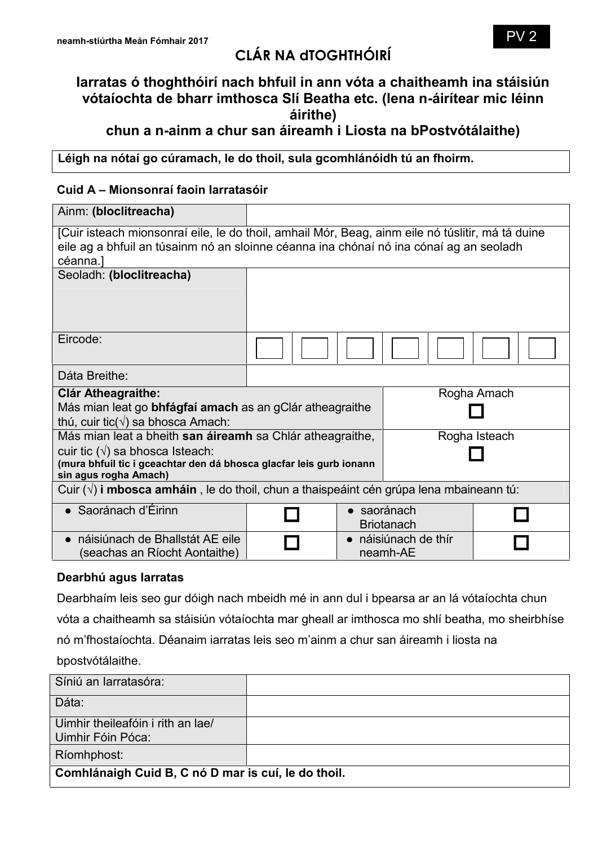# **CLÁR NA dTOGHTHÓIRÍ**

## **Iarratas ó thoghthóirí nach bhfuil in ann vóta a chaitheamh ina stáisiún vótaíochta de bharr imthosca Slí Beatha etc. (lena n-áirítear mic léinn áirithe)**

**chun a n-ainm a chur san áireamh i Liosta na bPostvótálaithe)**

**Léigh na nótaí go cúramach, le do thoil, sula gcomhlánóidh tú an fhoirm.**

#### **Cuid A – Mionsonraí faoin Iarratasóir**

| Ainm: (bloclitreacha)                                                                                                                                                                                                 |  |           |                                |  |
|-----------------------------------------------------------------------------------------------------------------------------------------------------------------------------------------------------------------------|--|-----------|--------------------------------|--|
| [Cuir isteach mionsonraí eile, le do thoil, amhail Mór, Beag, ainm eile nó túslitir, má tá duine<br>eile ag a bhfuil an túsainm nó an sloinne céanna ina chónaí nó ina cónaí ag an seoladh<br>céanna.]                |  |           |                                |  |
| Seoladh: (bloclitreacha)                                                                                                                                                                                              |  |           |                                |  |
| Eircode:                                                                                                                                                                                                              |  |           |                                |  |
| Dáta Breithe:                                                                                                                                                                                                         |  |           |                                |  |
| Rogha Amach<br><b>Clár Atheagraithe:</b><br>Más mian leat go <b>bhfágfaí amach</b> as an gClár atheagraithe<br>thú, cuir tic $(\sqrt{})$ sa bhosca Amach:                                                             |  |           |                                |  |
| Más mian leat a bheith san áireamh sa Chlár atheagraithe,<br>Rogha Isteach<br>cuir tic $(\sqrt{})$ sa bhosca Isteach:<br>(mura bhfuil tic i gceachtar den dá bhosca glacfar leis gurb ionann<br>sin agus rogha Amach) |  |           |                                |  |
| Cuir $(\sqrt{ } )$ i mbosca amháin, le do thoil, chun a thaispeáint cén grúpa lena mbaineann tú:                                                                                                                      |  |           |                                |  |
| $\bullet$ Saoránach d'Éirinn                                                                                                                                                                                          |  | $\bullet$ | saoránach<br><b>Briotanach</b> |  |
| náisiúnach de Bhallstát AE eile<br>(seachas an Ríocht Aontaithe)                                                                                                                                                      |  | $\bullet$ | náisiúnach de thír<br>neamh-AE |  |

#### **Dearbhú agus Iarratas**

Dearbhaím leis seo gur dóigh nach mbeidh mé in ann dul i bpearsa ar an lá vótaíochta chun vóta a chaitheamh sa stáisiún vótaíochta mar gheall ar imthosca mo shlí beatha, mo sheirbhíse nó m'fhostaíochta. Déanaim iarratas leis seo m'ainm a chur san áireamh i liosta na bpostvótálaithe.

| Síniú an Iarratasóra:                                  |  |  |
|--------------------------------------------------------|--|--|
| Dáta:                                                  |  |  |
| Uimhir theileafóin i rith an lae/<br>Uimhir Fóin Póca: |  |  |
| Ríomhphost:                                            |  |  |
| Comhlánaigh Cuid B, C nó D mar is cuí, le do thoil.    |  |  |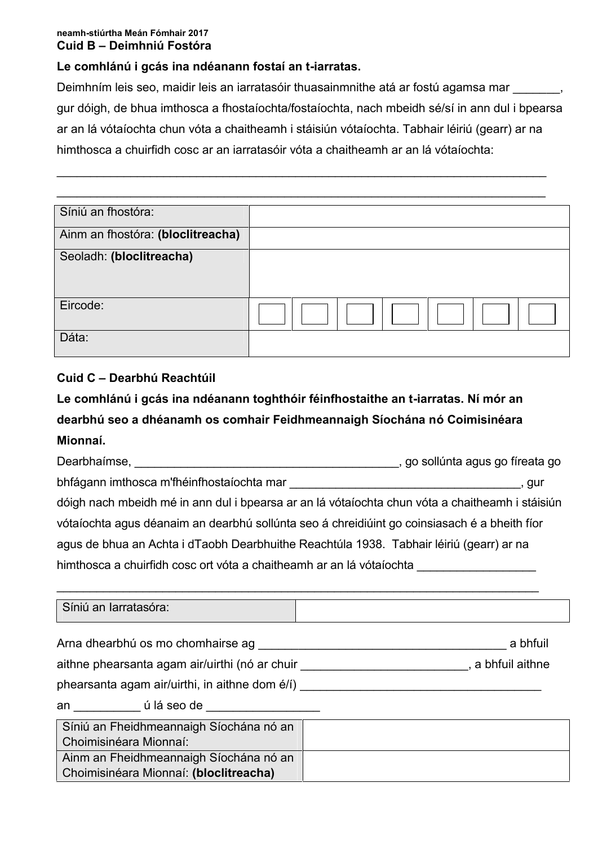#### **neamh-stiúrtha Meán Fómhair 2017 Cuid B – Deimhniú Fostóra**

#### **Le comhlánú i gcás ina ndéanann fostaí an t-iarratas.**

Deimhním leis seo, maidir leis an iarratasóir thuasainmnithe atá ar fostú agamsa mar \_\_\_\_\_\_, gur dóigh, de bhua imthosca a fhostaíochta/fostaíochta, nach mbeidh sé/sí in ann dul i bpearsa ar an lá vótaíochta chun vóta a chaitheamh i stáisiún vótaíochta. Tabhair léiriú (gearr) ar na himthosca a chuirfidh cosc ar an iarratasóir vóta a chaitheamh ar an lá vótaíochta:

\_\_\_\_\_\_\_\_\_\_\_\_\_\_\_\_\_\_\_\_\_\_\_\_\_\_\_\_\_\_\_\_\_\_\_\_\_\_\_\_\_\_\_\_\_\_\_\_\_\_\_\_\_\_\_\_\_\_\_\_\_\_\_\_\_\_\_\_\_\_\_\_\_\_

| Síniú an fhostóra:                |  |
|-----------------------------------|--|
| Ainm an fhostóra: (bloclitreacha) |  |
| Seoladh: (bloclitreacha)          |  |
|                                   |  |
| Eircode:                          |  |
| Dáta:                             |  |

## **Cuid C – Dearbhú Reachtúil**

## **Le comhlánú i gcás ina ndéanann toghthóir féinfhostaithe an t-iarratas. Ní mór an dearbhú seo a dhéanamh os comhair Feidhmeannaigh Síochána nó Coimisinéara Mionnaí.**

| Dearbhaimse, the control of the control of the control of the control of the control of the control of the control of the control of the control of the control of the control of the control of the control of the control of | , go sollúnta agus go fíreata go                                                                |  |
|--------------------------------------------------------------------------------------------------------------------------------------------------------------------------------------------------------------------------------|-------------------------------------------------------------------------------------------------|--|
| bhfágann imthosca m'fhéinfhostaíochta mar                                                                                                                                                                                      | , gur                                                                                           |  |
|                                                                                                                                                                                                                                | dóigh nach mbeidh mé in ann dul i bpearsa ar an lá vótaíochta chun vóta a chaitheamh i stáisiún |  |
|                                                                                                                                                                                                                                | vótaíochta agus déanaim an dearbhú sollúnta seo á chreidiúint go coinsiasach é a bheith fíor    |  |
| agus de bhua an Achta i dTaobh Dearbhuithe Reachtúla 1938. Tabhair léiriú (gearr) ar na                                                                                                                                        |                                                                                                 |  |
| himthosca a chuirfidh cosc ort vóta a chaitheamh ar an lá vótaíochta                                                                                                                                                           |                                                                                                 |  |

\_\_\_\_\_\_\_\_\_\_\_\_\_\_\_\_\_\_\_\_\_\_\_\_\_\_\_\_\_\_\_\_\_\_\_\_\_\_\_\_\_\_\_\_\_\_\_\_\_\_\_\_\_\_\_\_\_\_\_\_\_\_\_\_\_\_\_\_\_\_\_\_\_

| Síniú an Iarratasóra:                                                                                           |          |
|-----------------------------------------------------------------------------------------------------------------|----------|
| Arna dhearbhú os mo chomhairse ag                                                                               | a bhfuil |
| aithne phearsanta agam air/uirthi (nó ar chuir mhór an thuaiseann an t-aithne aithne aithne an t-aithne aithne  |          |
| phearsanta agam air/uirthi, in aithne dom é/í) ______                                                           |          |
| an cúlá seo de contra contra contra contra contra contra contra contra contra contra contra contra contra contr |          |
| Síniú an Fheidhmeannaigh Síochána nó an                                                                         |          |
| Choimisinéara Mionnaí:                                                                                          |          |
| Ainm an Fheidhmeannaigh Síochána nó an                                                                          |          |
| Choimisinéara Mionnaí: (bloclitreacha)                                                                          |          |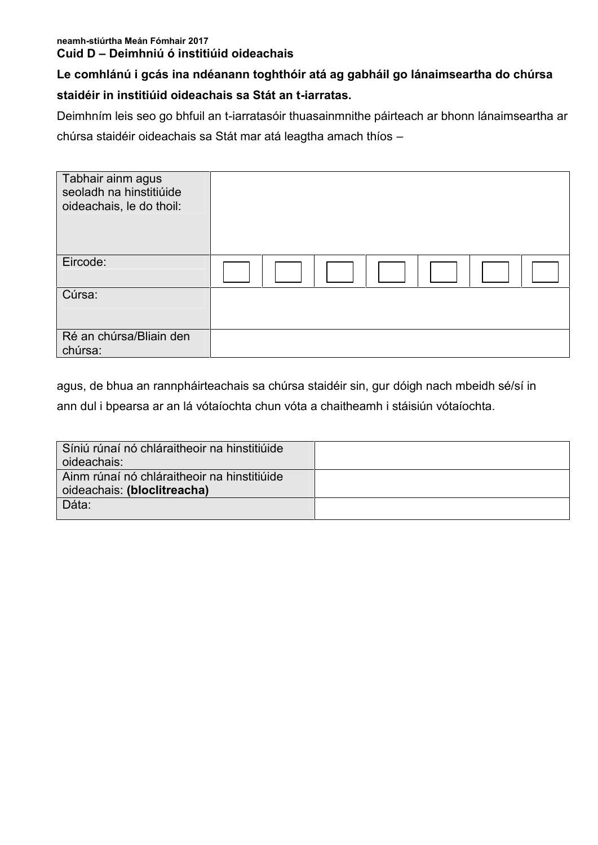#### **neamh-stiúrtha Meán Fómhair 2017 Cuid D – Deimhniú ó institiúid oideachais**

## **Le comhlánú i gcás ina ndéanann toghthóir atá ag gabháil go lánaimseartha do chúrsa**

## **staidéir in institiúid oideachais sa Stát an t-iarratas.**

Deimhním leis seo go bhfuil an t-iarratasóir thuasainmnithe páirteach ar bhonn lánaimseartha ar chúrsa staidéir oideachais sa Stát mar atá leagtha amach thíos –

| Tabhair ainm agus<br>seoladh na hinstitiúide<br>oideachais, le do thoil: |  |
|--------------------------------------------------------------------------|--|
| Eircode:                                                                 |  |
| Cúrsa:                                                                   |  |
| Ré an chúrsa/Bliain den<br>chúrsa:                                       |  |

agus, de bhua an rannpháirteachais sa chúrsa staidéir sin, gur dóigh nach mbeidh sé/sí in ann dul i bpearsa ar an lá vótaíochta chun vóta a chaitheamh i stáisiún vótaíochta.

| Síniú rúnaí nó chláraitheoir na hinstitiúide<br>oideachais:                |  |
|----------------------------------------------------------------------------|--|
| Ainm rúnaí nó chláraitheoir na hinstitiúide<br>oideachais: (bloclitreacha) |  |
| Dáta:                                                                      |  |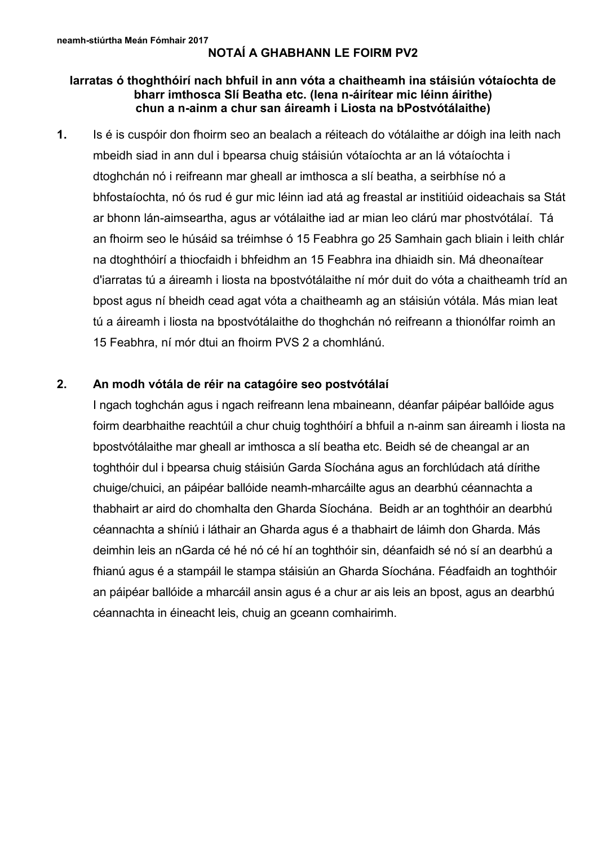## **NOTAÍ A GHABHANN LE FOIRM PV2**

#### **Iarratas ó thoghthóirí nach bhfuil in ann vóta a chaitheamh ina stáisiún vótaíochta de bharr imthosca Slí Beatha etc. (lena n-áirítear mic léinn áirithe) chun a n-ainm a chur san áireamh i Liosta na bPostvótálaithe)**

**1.** Is é is cuspóir don fhoirm seo an bealach a réiteach do vótálaithe ar dóigh ina leith nach mbeidh siad in ann dul i bpearsa chuig stáisiún vótaíochta ar an lá vótaíochta i dtoghchán nó i reifreann mar gheall ar imthosca a slí beatha, a seirbhíse nó a bhfostaíochta, nó ós rud é gur mic léinn iad atá ag freastal ar institiúid oideachais sa Stát ar bhonn lán-aimseartha, agus ar vótálaithe iad ar mian leo clárú mar phostvótálaí. Tá an fhoirm seo le húsáid sa tréimhse ó 15 Feabhra go 25 Samhain gach bliain i leith chlár na dtoghthóirí a thiocfaidh i bhfeidhm an 15 Feabhra ina dhiaidh sin. Má dheonaítear d'iarratas tú a áireamh i liosta na bpostvótálaithe ní mór duit do vóta a chaitheamh tríd an bpost agus ní bheidh cead agat vóta a chaitheamh ag an stáisiún vótála. Más mian leat tú a áireamh i liosta na bpostvótálaithe do thoghchán nó reifreann a thionólfar roimh an 15 Feabhra, ní mór dtui an fhoirm PVS 2 a chomhlánú.

#### **2. An modh vótála de réir na catagóire seo postvótálaí**

I ngach toghchán agus i ngach reifreann lena mbaineann, déanfar páipéar ballóide agus foirm dearbhaithe reachtúil a chur chuig toghthóirí a bhfuil a n-ainm san áireamh i liosta na bpostvótálaithe mar gheall ar imthosca a slí beatha etc. Beidh sé de cheangal ar an toghthóir dul i bpearsa chuig stáisiún Garda Síochána agus an forchlúdach atá dírithe chuige/chuici, an páipéar ballóide neamh-mharcáilte agus an dearbhú céannachta a thabhairt ar aird do chomhalta den Gharda Síochána. Beidh ar an toghthóir an dearbhú céannachta a shíniú i láthair an Gharda agus é a thabhairt de láimh don Gharda. Más deimhin leis an nGarda cé hé nó cé hí an toghthóir sin, déanfaidh sé nó sí an dearbhú a fhianú agus é a stampáil le stampa stáisiún an Gharda Síochána. Féadfaidh an toghthóir an páipéar ballóide a mharcáil ansin agus é a chur ar ais leis an bpost, agus an dearbhú céannachta in éineacht leis, chuig an gceann comhairimh.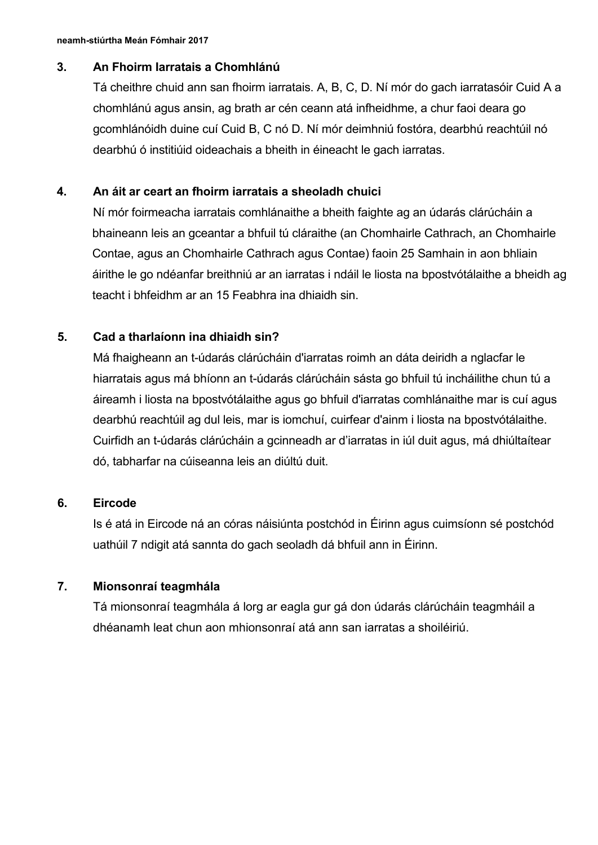#### **3. An Fhoirm Iarratais a Chomhlánú**

Tá cheithre chuid ann san fhoirm iarratais. A, B, C, D. Ní mór do gach iarratasóir Cuid A a chomhlánú agus ansin, ag brath ar cén ceann atá infheidhme, a chur faoi deara go gcomhlánóidh duine cuí Cuid B, C nó D. Ní mór deimhniú fostóra, dearbhú reachtúil nó dearbhú ó institiúid oideachais a bheith in éineacht le gach iarratas.

#### **4. An áit ar ceart an fhoirm iarratais a sheoladh chuici**

Ní mór foirmeacha iarratais comhlánaithe a bheith faighte ag an údarás clárúcháin a bhaineann leis an gceantar a bhfuil tú cláraithe (an Chomhairle Cathrach, an Chomhairle Contae, agus an Chomhairle Cathrach agus Contae) faoin 25 Samhain in aon bhliain áirithe le go ndéanfar breithniú ar an iarratas i ndáil le liosta na bpostvótálaithe a bheidh ag teacht i bhfeidhm ar an 15 Feabhra ina dhiaidh sin.

## **5. Cad a tharlaíonn ina dhiaidh sin?**

Má fhaigheann an t-údarás clárúcháin d'iarratas roimh an dáta deiridh a nglacfar le hiarratais agus má bhíonn an t-údarás clárúcháin sásta go bhfuil tú incháilithe chun tú a áireamh i liosta na bpostvótálaithe agus go bhfuil d'iarratas comhlánaithe mar is cuí agus dearbhú reachtúil ag dul leis, mar is iomchuí, cuirfear d'ainm i liosta na bpostvótálaithe. Cuirfidh an t-údarás clárúcháin a gcinneadh ar d'iarratas in iúl duit agus, má dhiúltaítear dó, tabharfar na cúiseanna leis an diúltú duit.

## **6. Eircode**

Is é atá in Eircode ná an córas náisiúnta postchód in Éirinn agus cuimsíonn sé postchód uathúil 7 ndigit atá sannta do gach seoladh dá bhfuil ann in Éirinn.

## **7. Mionsonraí teagmhála**

Tá mionsonraí teagmhála á lorg ar eagla gur gá don údarás clárúcháin teagmháil a dhéanamh leat chun aon mhionsonraí atá ann san iarratas a shoiléiriú.